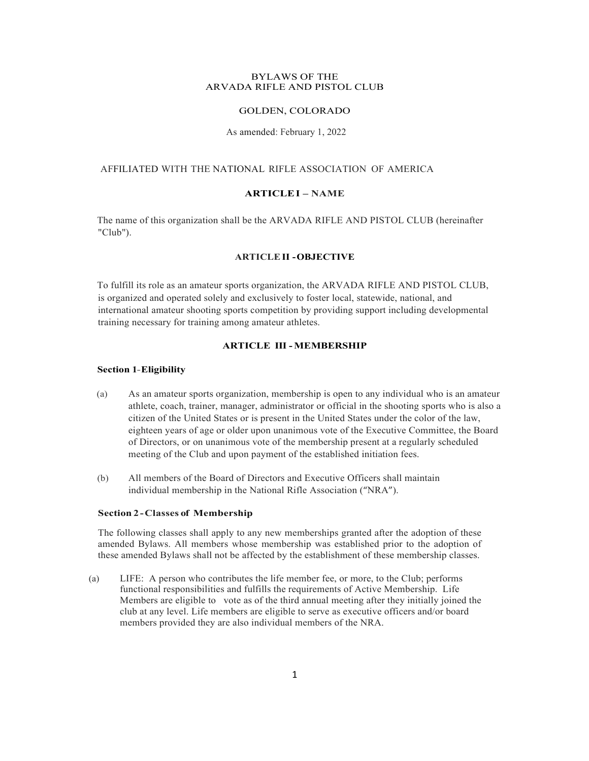#### BYLAWS OF THE ARVADA RIFLE AND PISTOL CLUB

## GOLDEN, COLORADO

### As amended: February 1, 2022

# AFFILIATED WITH THE NATIONAL RIFLE ASSOCIATION OF AMERICA

# **ARTICLEI – NAME**

The name of this organization shall be the ARVADA RIFLE AND PISTOL CLUB (hereinafter "Club").

#### **ARTICLEII -OBJECTIVE**

To fulfill its role as an amateur sports organization, the ARVADA RIFLE AND PISTOL CLUB, is organized and operated solely and exclusively to foster local, statewide, national, and international amateur shooting sports competition by providing support including developmental training necessary for training among amateur athletes.

## **ARTICLE III -MEMBERSHIP**

## **Section 1-Eligibility**

- (a) As an amateur sports organization, membership is open to any individual who is an amateur athlete, coach, trainer, manager, administrator or official in the shooting sports who is also a citizen of the United States or is present in the United States under the color of the law, eighteen years of age or older upon unanimous vote of the Executive Committee, the Board of Directors, or on unanimous vote of the membership present at a regularly scheduled meeting of the Club and upon payment of the established initiation fees.
- (b) All members of the Board of Directors and Executive Officers shall maintain individual membership in the National Rifle Association ("NRA").

### **Section 2-Classes of Membership**

The following classes shall apply to any new memberships granted after the adoption of these amended Bylaws. All members whose membership was established prior to the adoption of these amended Bylaws shall not be affected by the establishment of these membership classes.

(a) LIFE: A person who contributes the life member fee, or more, to the Club; performs functional responsibilities and fulfills the requirements of Active Membership. Life Members are eligible to vote as of the third annual meeting after they initially joined the club at any level. Life members are eligible to serve as executive officers and/or board members provided they are also individual members of the NRA.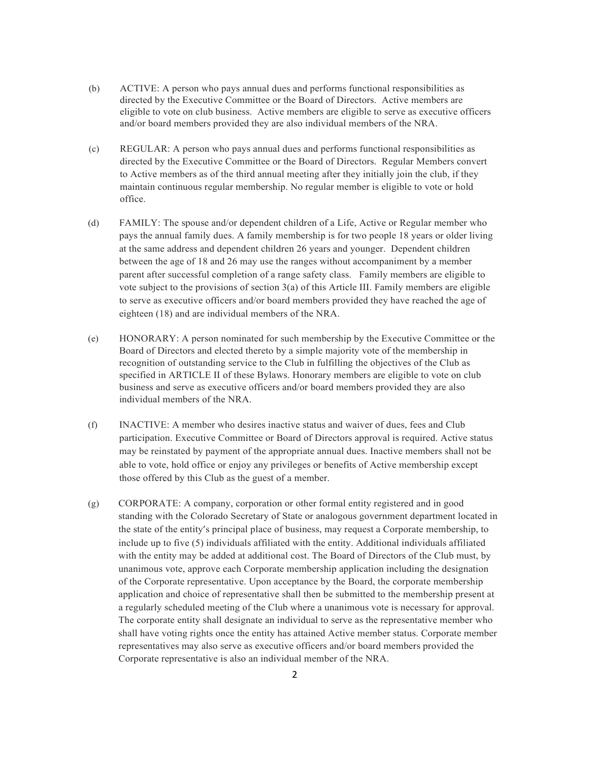- (b) ACTIVE: A person who pays annual dues and performs functional responsibilities as directed by the Executive Committee or the Board of Directors. Active members are eligible to vote on club business. Active members are eligible to serve as executive officers and/or board members provided they are also individual members of the NRA.
- (c) REGULAR: A person who pays annual dues and performs functional responsibilities as directed by the Executive Committee or the Board of Directors. Regular Members convert to Active members as of the third annual meeting after they initially join the club, if they maintain continuous regular membership. No regular member is eligible to vote or hold office.
- (d) FAMILY: The spouse and/or dependent children of a Life, Active or Regular member who pays the annual family dues. A family membership is for two people 18 years or older living at the same address and dependent children 26 years and younger. Dependent children between the age of 18 and 26 may use the ranges without accompaniment by a member parent after successful completion of a range safety class. Family members are eligible to vote subject to the provisions of section 3(a) of this Article III. Family members are eligible to serve as executive officers and/or board members provided they have reached the age of eighteen (18) and are individual members of the NRA.
- (e) HONORARY: A person nominated for such membership by the Executive Committee or the Board of Directors and elected thereto by a simple majority vote of the membership in recognition of outstanding service to the Club in fulfilling the objectives of the Club as specified in ARTICLE II of these Bylaws. Honorary members are eligible to vote on club business and serve as executive officers and/or board members provided they are also individual members of the NRA.
- (f) INACTIVE: A member who desires inactive status and waiver of dues, fees and Club participation. Executive Committee or Board of Directors approval is required. Active status may be reinstated by payment of the appropriate annual dues. Inactive members shall not be able to vote, hold office or enjoy any privileges or benefits of Active membership except those offered by this Club as the guest of a member.
- (g) CORPORATE: A company, corporation or other formal entity registered and in good standing with the Colorado Secretary of State or analogous government department located in the state of the entity's principal place of business, may request a Corporate membership, to include up to five (5) individuals affiliated with the entity. Additional individuals affiliated with the entity may be added at additional cost. The Board of Directors of the Club must, by unanimous vote, approve each Corporate membership application including the designation of the Corporate representative. Upon acceptance by the Board, the corporate membership application and choice of representative shall then be submitted to the membership present at a regularly scheduled meeting of the Club where a unanimous vote is necessary for approval. The corporate entity shall designate an individual to serve as the representative member who shall have voting rights once the entity has attained Active member status. Corporate member representatives may also serve as executive officers and/or board members provided the Corporate representative is also an individual member of the NRA.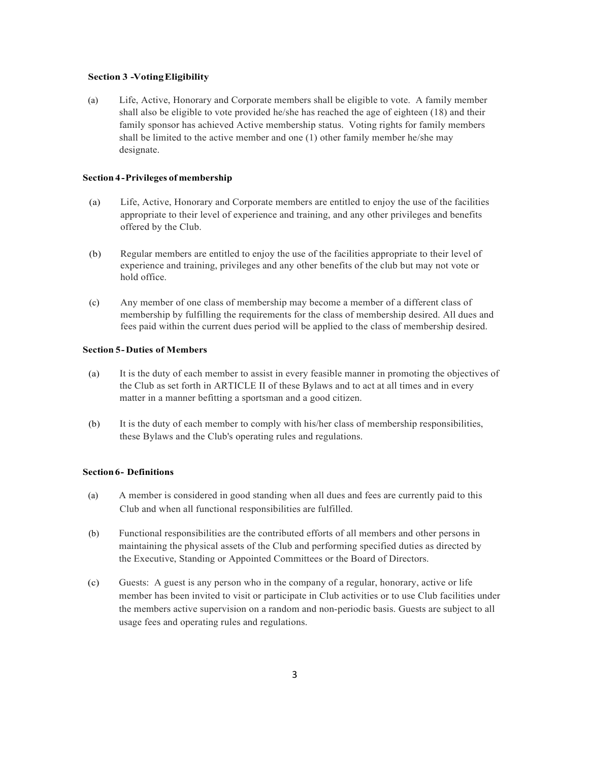#### **Section 3 -VotingEligibility**

(a) Life, Active, Honorary and Corporate members shall be eligible to vote. A family member shall also be eligible to vote provided he/she has reached the age of eighteen (18) and their family sponsor has achieved Active membership status. Voting rights for family members shall be limited to the active member and one (1) other family member he/she may designate.

#### **Section 4-Privileges of membership**

- (a) Life, Active, Honorary and Corporate members are entitled to enjoy the use of the facilities appropriate to their level of experience and training, and any other privileges and benefits offered by the Club.
- (b) Regular members are entitled to enjoy the use of the facilities appropriate to their level of experience and training, privileges and any other benefits of the club but may not vote or hold office.
- (c) Any member of one class of membership may become a member of a different class of membership by fulfilling the requirements for the class of membership desired. All dues and fees paid within the current dues period will be applied to the class of membership desired.

# **Section 5-Duties of Members**

- (a) It is the duty of each member to assist in every feasible manner in promoting the objectives of the Club as set forth in ARTICLE II of these Bylaws and to act at all times and in every matter in a manner befitting a sportsman and a good citizen.
- (b) It is the duty of each member to comply with his/her class of membership responsibilities, these Bylaws and the Club's operating rules and regulations.

### **Section6- Definitions**

- (a) A member is considered in good standing when all dues and fees are currently paid to this Club and when all functional responsibilities are fulfilled.
- (b) Functional responsibilities are the contributed efforts of all members and other persons in maintaining the physical assets of the Club and performing specified duties as directed by the Executive, Standing or Appointed Committees or the Board of Directors.
- (c) Guests: A guest is any person who in the company of a regular, honorary, active or life member has been invited to visit or participate in Club activities or to use Club facilities under the members active supervision on a random and non-periodic basis. Guests are subject to all usage fees and operating rules and regulations.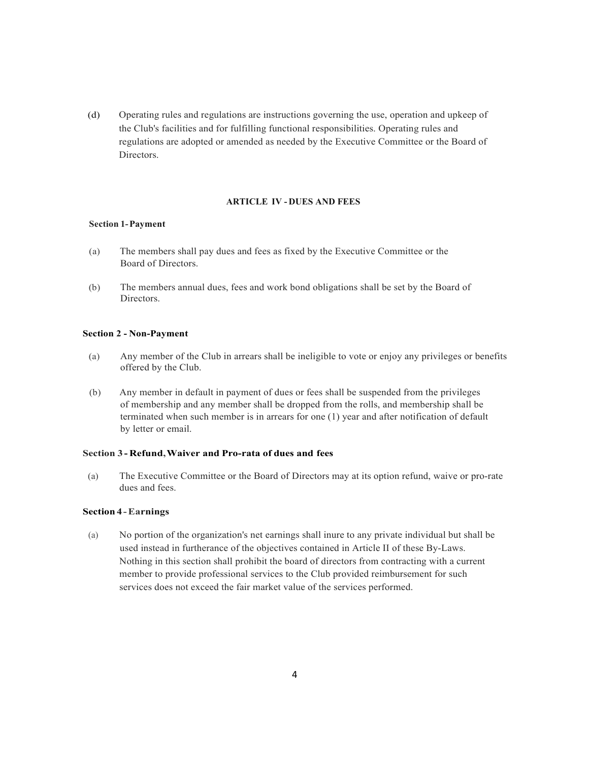(d) Operating rules and regulations are instructions governing the use, operation and upkeep of the Club's facilities and for fulfilling functional responsibilities. Operating rules and regulations are adopted or amended as needed by the Executive Committee or the Board of Directors.

# **ARTICLE IV - DUES AND FEES**

### **Section 1-Payment**

- (a) The members shall pay dues and fees as fixed by the Executive Committee or the Board of Directors.
- (b) The members annual dues, fees and work bond obligations shall be set by the Board of Directors.

#### **Section 2 - Non-Payment**

- (a) Any member of the Club in arrears shall be ineligible to vote or enjoy any privileges or benefits offered by the Club.
- (b) Any member in default in payment of dues or fees shall be suspended from the privileges of membership and any member shall be dropped from the rolls, and membership shall be terminated when such member is in arrears for one (1) year and after notification of default by letter or email.

## **Section 3 - Refund,Waiver and Pro-rata of dues and fees**

(a) The Executive Committee or the Board of Directors may at its option refund, waive or pro-rate dues and fees.

#### **Section 4-Earnings**

(a) No portion of the organization's net earnings shall inure to any private individual but shall be used instead in furtherance of the objectives contained in Article II of these By-Laws. Nothing in this section shall prohibit the board of directors from contracting with a current member to provide professional services to the Club provided reimbursement for such services does not exceed the fair market value of the services performed.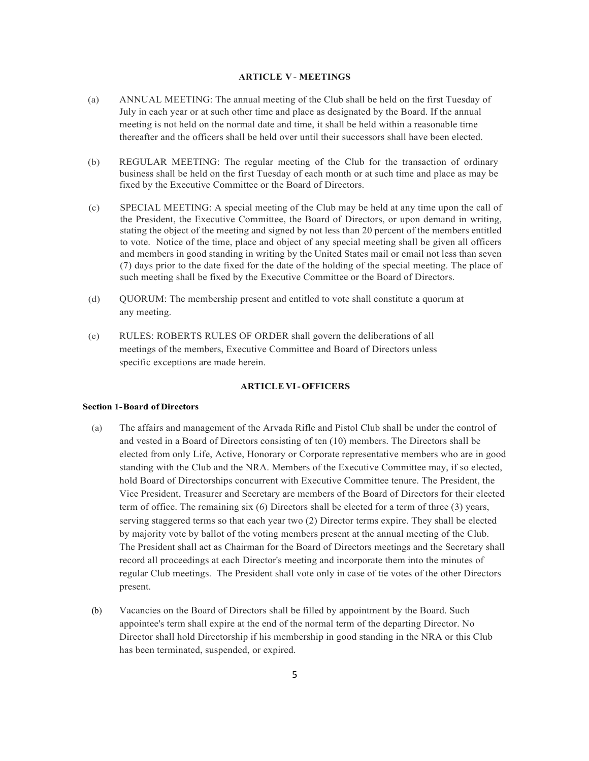# **ARTICLE V - MEETINGS**

- (a) ANNUAL MEETING: The annual meeting of the Club shall be held on the first Tuesday of July in each year or at such other time and place as designated by the Board. If the annual meeting is not held on the normal date and time, it shall be held within a reasonable time thereafter and the officers shall be held over until their successors shall have been elected.
- (b) REGULAR MEETING: The regular meeting of the Club for the transaction of ordinary business shall be held on the first Tuesday of each month or at such time and place as may be fixed by the Executive Committee or the Board of Directors.
- (c) SPECIAL MEETING: A special meeting of the Club may be held at any time upon the call of the President, the Executive Committee, the Board of Directors, or upon demand in writing, stating the object of the meeting and signed by not less than 20 percent of the members entitled to vote. Notice of the time, place and object of any special meeting shall be given all officers and members in good standing in writing by the United States mail or email not less than seven (7) days prior to the date fixed for the date of the holding of the special meeting. The place of such meeting shall be fixed by the Executive Committee or the Board of Directors.
- (d) QUORUM: The membership present and entitled to vote shall constitute a quorum at any meeting.
- (e) RULES: ROBERTS RULES OF ORDER shall govern the deliberations of all meetings of the members, Executive Committee and Board of Directors unless specific exceptions are made herein.

# **ARTICLE VI-OFFICERS**

### **Section 1-Board of Directors**

- (a) The affairs and management of the Arvada Rifle and Pistol Club shall be under the control of and vested in a Board of Directors consisting of ten (10) members. The Directors shall be elected from only Life, Active, Honorary or Corporate representative members who are in good standing with the Club and the NRA. Members of the Executive Committee may, if so elected, hold Board of Directorships concurrent with Executive Committee tenure. The President, the Vice President, Treasurer and Secretary are members of the Board of Directors for their elected term of office. The remaining six (6) Directors shall be elected for a term of three (3) years, serving staggered terms so that each year two (2) Director terms expire. They shall be elected by majority vote by ballot of the voting members present at the annual meeting of the Club. The President shall act as Chairman for the Board of Directors meetings and the Secretary shall record all proceedings at each Director's meeting and incorporate them into the minutes of regular Club meetings. The President shall vote only in case of tie votes of the other Directors present.
- (b) Vacancies on the Board of Directors shall be filled by appointment by the Board. Such appointee's term shall expire at the end of the normal term of the departing Director. No Director shall hold Directorship if his membership in good standing in the NRA or this Club has been terminated, suspended, or expired.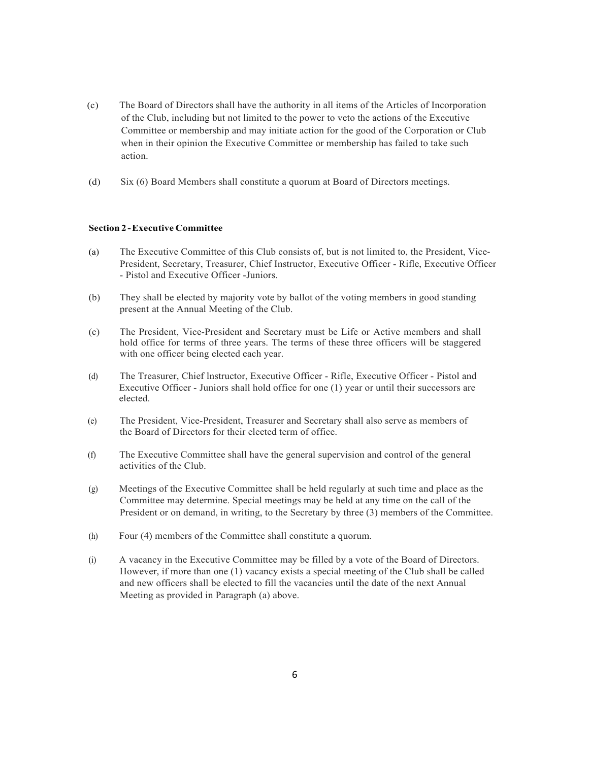- (c) The Board of Directors shall have the authority in all items of the Articles of Incorporation of the Club, including but not limited to the power to veto the actions of the Executive Committee or membership and may initiate action for the good of the Corporation or Club when in their opinion the Executive Committee or membership has failed to take such action.
- (d) Six (6) Board Members shall constitute a quorum at Board of Directors meetings.

# **Section 2 -Executive Committee**

- (a) The Executive Committee of this Club consists of, but is not limited to, the President, Vice-President, Secretary, Treasurer, Chief Instructor, Executive Officer - Rifle, Executive Officer - Pistol and Executive Officer -Juniors.
- (b) They shall be elected by majority vote by ballot of the voting members in good standing present at the Annual Meeting of the Club.
- (c) The President, Vice-President and Secretary must be Life or Active members and shall hold office for terms of three years. The terms of these three officers will be staggered with one officer being elected each year.
- (d) The Treasurer, Chief lnstructor, Executive Officer Rifle, Executive Officer Pistol and Executive Officer - Juniors shall hold office for one (1) year or until their successors are elected.
- (e) The President, Vice-President, Treasurer and Secretary shall also serve as members of the Board of Directors for their elected term of office.
- (f) The Executive Committee shall have the general supervision and control of the general activities of the Club.
- (g) Meetings of the Executive Committee shall be held regularly at such time and place as the Committee may determine. Special meetings may be held at any time on the call of the President or on demand, in writing, to the Secretary by three (3) members of the Committee.
- (h) Four (4) members of the Committee shall constitute a quorum.
- (i) A vacancy in the Executive Committee may be filled by a vote of the Board of Directors. However, if more than one (1) vacancy exists a special meeting of the Club shall be called and new officers shall be elected to fill the vacancies until the date of the next Annual Meeting as provided in Paragraph (a) above.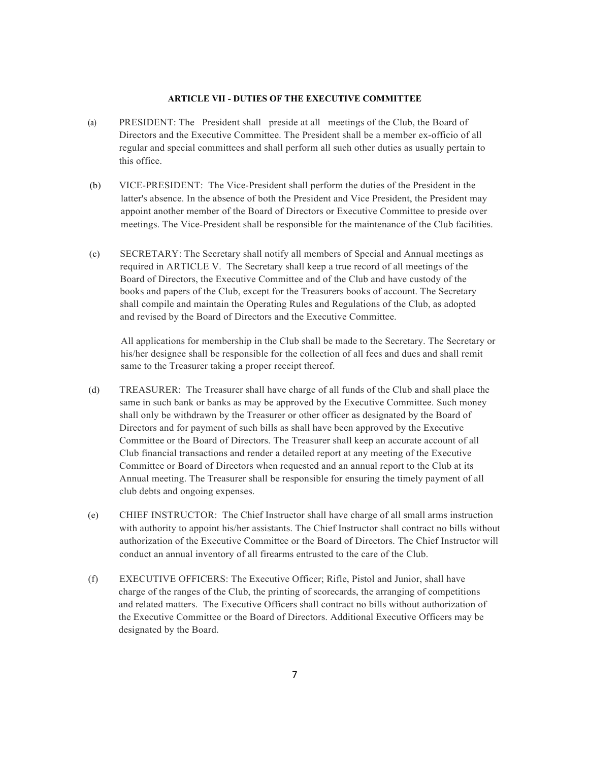#### **ARTICLE VII - DUTIES OF THE EXECUTIVE COMMITTEE**

- (a) PRESIDENT: The President shall preside at all meetings of the Club, the Board of Directors and the Executive Committee. The President shall be a member ex-officio of all regular and special committees and shall perform all such other duties as usually pertain to this office.
- (b) VICE-PRESIDENT: The Vice-President shall perform the duties of the President in the latter's absence. In the absence of both the President and Vice President, the President may appoint another member of the Board of Directors or Executive Committee to preside over meetings. The Vice-President shall be responsible for the maintenance of the Club facilities.
- (c) SECRETARY: The Secretary shall notify all members of Special and Annual meetings as required in ARTICLE V. The Secretary shall keep a true record of all meetings of the Board of Directors, the Executive Committee and of the Club and have custody of the books and papers of the Club, except for the Treasurers books of account. The Secretary shall compile and maintain the Operating Rules and Regulations of the Club, as adopted and revised by the Board of Directors and the Executive Committee.

All applications for membership in the Club shall be made to the Secretary. The Secretary or his/her designee shall be responsible for the collection of all fees and dues and shall remit same to the Treasurer taking a proper receipt thereof.

- (d) TREASURER: The Treasurer shall have charge of all funds of the Club and shall place the same in such bank or banks as may be approved by the Executive Committee. Such money shall only be withdrawn by the Treasurer or other officer as designated by the Board of Directors and for payment of such bills as shall have been approved by the Executive Committee or the Board of Directors. The Treasurer shall keep an accurate account of all Club financial transactions and render a detailed report at any meeting of the Executive Committee or Board of Directors when requested and an annual report to the Club at its Annual meeting. The Treasurer shall be responsible for ensuring the timely payment of all club debts and ongoing expenses.
- (e) CHIEF INSTRUCTOR: The Chief Instructor shall have charge of all small arms instruction with authority to appoint his/her assistants. The Chief Instructor shall contract no bills without authorization of the Executive Committee or the Board of Directors. The Chief Instructor will conduct an annual inventory of all firearms entrusted to the care of the Club.
- (f) EXECUTIVE OFFICERS: The Executive Officer; Rifle, Pistol and Junior, shall have charge of the ranges of the Club, the printing of scorecards, the arranging of competitions and related matters. The Executive Officers shall contract no bills without authorization of the Executive Committee or the Board of Directors. Additional Executive Officers may be designated by the Board.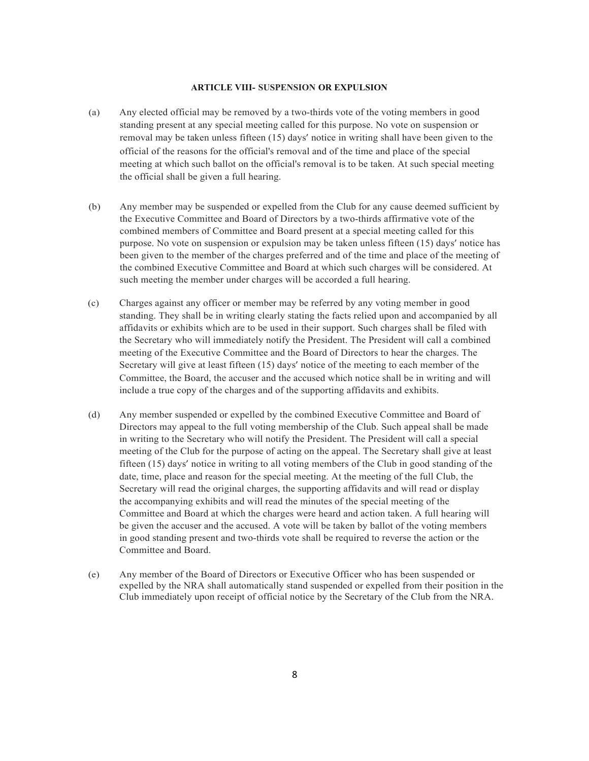# **ARTICLE VIII- SUSPENSION OR EXPULSION**

- (a) Any elected official may be removed by a two-thirds vote of the voting members in good standing present at any special meeting called for this purpose. No vote on suspension or removal may be taken unless fifteen (15) days' notice in writing shall have been given to the official of the reasons for the official's removal and of the time and place of the special meeting at which such ballot on the official's removal is to be taken. At such special meeting the official shall be given a full hearing.
- (b) Any member may be suspended or expelled from the Club for any cause deemed sufficient by the Executive Committee and Board of Directors by a two-thirds affirmative vote of the combined members of Committee and Board present at a special meeting called for this purpose. No vote on suspension or expulsion may be taken unless fifteen (15) days' notice has been given to the member of the charges preferred and of the time and place of the meeting of the combined Executive Committee and Board at which such charges will be considered. At such meeting the member under charges will be accorded a full hearing.
- (c) Charges against any officer or member may be referred by any voting member in good standing. They shall be in writing clearly stating the facts relied upon and accompanied by all affidavits or exhibits which are to be used in their support. Such charges shall be filed with the Secretary who will immediately notify the President. The President will call a combined meeting of the Executive Committee and the Board of Directors to hear the charges. The Secretary will give at least fifteen (15) days' notice of the meeting to each member of the Committee, the Board, the accuser and the accused which notice shall be in writing and will include a true copy of the charges and of the supporting affidavits and exhibits.
- (d) Any member suspended or expelled by the combined Executive Committee and Board of Directors may appeal to the full voting membership of the Club. Such appeal shall be made in writing to the Secretary who will notify the President. The President will call a special meeting of the Club for the purpose of acting on the appeal. The Secretary shall give at least fifteen (15) days' notice in writing to all voting members of the Club in good standing of the date, time, place and reason for the special meeting. At the meeting of the full Club, the Secretary will read the original charges, the supporting affidavits and will read or display the accompanying exhibits and will read the minutes of the special meeting of the Committee and Board at which the charges were heard and action taken. A full hearing will be given the accuser and the accused. A vote will be taken by ballot of the voting members in good standing present and two-thirds vote shall be required to reverse the action or the Committee and Board.
- (e) Any member of the Board of Directors or Executive Officer who has been suspended or expelled by the NRA shall automatically stand suspended or expelled from their position in the Club immediately upon receipt of official notice by the Secretary of the Club from the NRA.